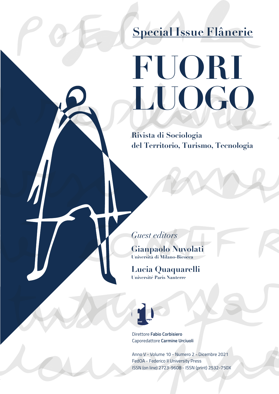## **Special Issue Flânerie**

# **FUORI LUOGO**

**Rivista di Sociologia del Territorio, Turismo, Tecnologia**

*Guest editors*

 $\overline{\phantom{a}}$ 

**Gianpaolo Nuvolati Università di Milano-Bicocca** 

**Lucia Quaquarelli Université Paris Nanterre**



Direttore **Fabio Corbisiero**  Caporedattore **Carmine Urciuoli**

Anno V - Volume 10 - Numero 2 - Dicembre 2021 FedOA - Federico II University Press ISSN (on line) 2723-9608 - ISSN (print) 2532-750X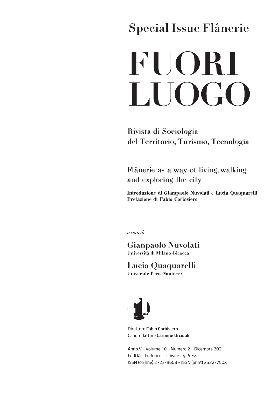### **Special Issue Flânerie**

## **FUORI** LUOGO

Rivista di Sociologia del Territorio, Turismo, Tecnologia

Flânerie as a way of living, walking and exploring the city

Introduzione di Giampaolo Nuvolati e Lucia Quaquarelli Prefazione di Fabio Corbisiero

a cura di

Gianpaolo Nuvolati Università di Milano-Bicocca

### Lucia Quaquarelli

Université Paris Nanterre



Direttore Fabio Corbisiero Caporedattore Carmine Urciuoli

Anno V - Volume 10 - Numero 2 - Dicembre 2021 FedOA - Federico II University Press ISSN (on line) 2723-9608 - ISSN (print) 2532-750X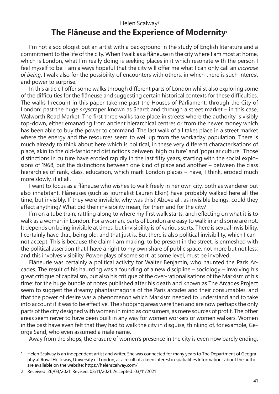#### Helen Scalway<sup>1</sup> **The Flâneuse and the Experience of Modernity<sup>2</sup>**

I'm not a sociologist but an artist with a background in the study of English literature and a commitment to the life of the city. When I walk as a flâneuse in the city where I am most at home, which is London, what I'm really doing is seeking places in it which resonate with the person I feel myself to be. I am always hopeful that the city will offer me what I can only call an *increase of being*. I walk also for the possibility of encounters with others, in which there is such interest and power to surprise.

In this article I offer some walks through different parts of London whilst also exploring some of the difficulties for the flâneuse and suggesting certain historical contexts for these difficulties. The walks I recount in this paper take me past the Houses of Parliament: through the City of London: past the huge skyscraper known as Shard: and through a street market – in this case, Walworth Road Market. The first three walks take place in streets where the authority is visibly top-down, either emanating from ancient hierarchical centres or from the newer money which has been able to buy the power to command. The last walk of all takes place in a street market where the energy and the resources seem to well up from the workaday population. There is much already to think about here which is political, in these very different characterisations of place, akin to the old-fashioned distinctions between 'high culture' and 'popular culture'. Those distinctions in culture have eroded rapidly in the last fifty years, starting with the social explosions of 1968, but the distinctions between one kind of place and another – between the class hierarchies of rank, class, education, which mark London places – have, I think, eroded much more slowly, if at all.

I want to focus as a flâneuse who wishes to walk freely in her own city, both as wanderer but also inhabitant. Flâneuses (such as journalist Lauren Elkin) have probably walked here all the time, but invisibly. If they were invisible, why was this? Above all, as invisible beings, could they affect anything? What did their invisibility mean, for them and for the city?

I'm on a tube train, rattling along to where my first walk starts, and reflecting on what it is to walk as a woman in London. For a woman, parts of London are easy to walk in and some are not. It depends on being invisible at times, but invisibility is of various sorts. There is sexual invisibility. I certainly have that, being old, and that just is. But there is also political invisibility, which I cannot accept. This is because the claim I am making, to be present in the street, is enmeshed with the political assertion that I have a right to my own share of public space, not more but not less; and this involves visibility. Power-plays of some sort, at some level, must be involved.

Flâneurie was certainly a political activity for Walter Benjamin, who haunted the Paris Arcades. The result of his haunting was a founding of a new discipline – sociology – involving his great critique of capitalism, but also his critique of the over-rationalisations of the Marxism of his time: for the huge bundle of notes published after his death and known as The Arcades Project seem to suggest the dreamy phantasmagoria of the Paris arcades and their consumables, and that the power of desire was a phenomenon which Marxism needed to understand and to take into account if it was to be effective. The shopping areas were then and are now perhaps the only parts of the city designed with women in mind as consumers, as mere sources of profit. The other areas seem never to have been built in any way for women workers or women walkers. Women in the past have even felt that they had to walk the city in disguise, thinking of, for example, George Sand, who even assumed a male name.

Away from the shops, the erasure of women's presence in the city is even now barely ending.

<sup>1</sup> Helen Scalway is an independent artist and writer. She was connected for many years to The Department of Geography at Royal Holloway, University of London, as a result of a keen interest in spatialities Informations about the author are available on the website: https://helenscalway.com/.

<sup>2</sup> Received: 26/03/2021. Revised: 03/11/2021. Accepted: 03/11/2021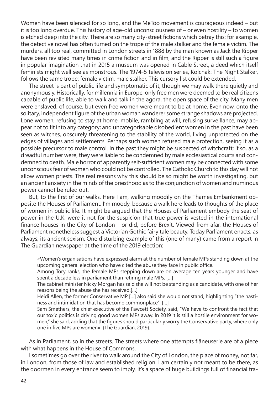Women have been silenced for so long, and the MeToo movement is courageous indeed – but it is too long overdue. This history of age-old unconsciousness of – or even hostility – to women is etched deep into the city. There are so many city-street fictions which betray this; for example, the detective novel has often turned on the trope of the male stalker and the female victim. The murders, all too real, committed in London streets in 1888 by the man known as Jack the Ripper have been revisited many times in crime fiction and in film, and the Ripper is still such a figure in popular imagination that in 2015 a museum was opened in Cable Street, a deed which itself feminists might well see as monstrous. The 1974-5 television series, Kolchak: The Night Stalker, follows the same trope: female victim, male stalker. This cursory list could be extended.

The street is part of public life and symptomatic of it, though we may walk there quietly and anonymously. Historically, for millennia in Europe, only free men were deemed to be real citizens capable of public life, able to walk and talk in the agora, the open space of the city. Many men were enslaved, of course, but even free women were meant to be at home. Even now, onto the solitary, independent figure of the urban woman wanderer some strange shadows are projected. Lone women, refusing to stay at home, mobile, rambling at will, refusing surveillance, may appear not to fit into any category; and uncategorisable disobedient women in the past have been seen as witches, obscurely threatening to the stability of the world, living unprotected on the edges of villages and settlements. Perhaps such women refused male protection, seeing it as a possible precursor to male control. In the past they might be suspected of witchcraft; if so, as a dreadful number were, they were liable to be condemned by male ecclesiastical courts and condemned to death. Male horror of apparently self-sufficient women may be connected with some unconscious fear of women who could not be controlled. The Catholic Church to this day will not allow women priests. The real reasons why this should be so might be worth investigating, but an ancient anxiety in the minds of the priesthood as to the conjunction of women and numinous power cannot be ruled out.

But, to the first of our walks. Here I am, walking moodily on the Thames Embankment opposite the Houses of Parliament. I'm moody, because a walk here leads to thoughts of the place of women in public life. It might be argued that the Houses of Parliament embody the seat of power in the U.K. were it not for the suspicion that true power is vested in the international finance houses in the City of London – or did, before Brexit. Viewed from afar, the Houses of Parliament nonetheless suggest a Victorian Gothic fairy tale beauty. Today Parliament enacts, as always, its ancient sexism. One disturbing example of this (one of many) came from a report in The Guardian newspaper at the time of the 2019 election:

«Women's organisations have expressed alarm at the number of female MPs standing down at the upcoming general election who have cited the abuse they face in public office.

Among Tory ranks, the female MPs stepping down are on average ten years younger and have spent a decade less in parliament than retiring male MPs. […]

The cabinet minister Nicky Morgan has said she will not be standing as a candidate, with one of her reasons being the abuse she has received.[…]

Heidi Allen, the former Conservative MP […] also said she would not stand, highlighting "the nastiness and intimidation that has become commonplace". […]

Sam Smethers, the chief executive of the Fawcett Society, said, "We have to confront the fact that our toxic politics is driving good women MPs away. In 2019 it is still a hostile environment for women," she said, adding that the figures should particularly worry the Conservative party, where only one in five MPs are women» (The Guardian, 2019).

As in Parliament, so in the streets. The streets where one attempts flâneuserie are of a piece with what happens in the House of Commons.

I sometimes go over the river to walk around the City of London, the place of money, not far, in London, from those of law and established religion. I am certainly not meant to be there, as the doormen in every entrance seem to imply. It's a space of huge buildings full of financial tra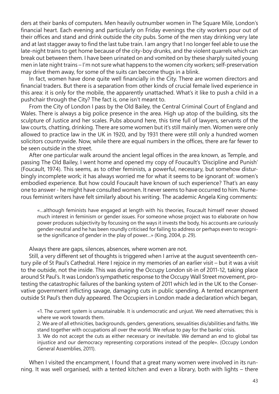ders at their banks of computers. Men heavily outnumber women in The Square Mile, London's financial heart. Each evening and particularly on Friday evenings the city workers pour out of their offices and stand and drink outside the city pubs. Some of the men stay drinking very late and at last stagger away to find the last tube train. I am angry that I no longer feel able to use the late-night trains to get home because of the city-boy drunks, and the violent quarrels which can break out between them. I have been urinated on and vomited on by these sharply suited young men in late night trains – I'm not sure what happens to the women city workers; self-preservation may drive them away, for some of the suits can become thugs in a blink.

In fact, women have done quite well financially in the City. There are women directors and financial traders. But there is a separation from other kinds of crucial female lived experience in this area: it is only for the mobile, the apparently unattached. What's it like to push a child in a pushchair through the City? The fact is, one isn't meant to.

From the City of London I pass by the Old Bailey, the Central Criminal Court of England and Wales. There is always a big police presence in the area. High up atop of the building, sits the sculpture of Justice and her scales. Pubs abound here, this time full of lawyers, servants of the law courts, chatting, drinking. There are some women but it's still mainly men. Women were only allowed to practice law in the UK in 1920, and by 1931 there were still only a hundred women solicitors countrywide. Now, while there are equal numbers in the offices, there are far fewer to be seen outside in the street.

After one particular walk around the ancient legal offices in the area known, as Temple, and passing The Old Bailey, I went home and opened my copy of Foucault's 'Discipline and Punish' (Foucault, 1974). This seems, as to other feminists, a powerful, necessary, but somehow disturbingly incomplete work; it has always worried me for what it seems to be ignorant of: women's embodied experience. But how could Foucault have known of such experience? That's an easy one to answer - he might have consulted women. It never seems to have occurred to him. Numerous feminist writers have felt similarly about his writing. The academic Angela King comments:

«…although feminists have engaged at length with his theories, Foucault himself never showed much interest in feminism or gender issues. For someone whose project was to elaborate on how power produces subjectivity by focussing on the ways it invests the body, his accounts are curiously gender-neutral and he has been roundly criticised for failing to address or perhaps even to recognise the significance of gender in the play of power…» (King, 2004, p. 29).

Always there are gaps, silences, absences, where women are not.

Still, a very different set of thoughts is triggered when I arrive at the august seventeenth century pile of St Paul's Cathedral. Here I rejoice in my memories of an earlier visit – but it was a visit to the outside, not the inside. This was during the Occupy London sit-in of 2011-12, taking place around St Paul's. It was London's sympathetic response to the Occupy Wall Street movement, protesting the catastrophic failures of the banking system of 2011 which led in the UK to the Conservative government inflicting savage, damaging cuts in public spending. A tented encampment outside St Paul's then duly appeared. The Occupiers in London made a declaration which began,

«1. The current system is unsustainable. It is undemocratic and unjust. We need alternatives; this is where we work towards them.

2. We are of all ethnicities, backgrounds, genders, generations, sexualities dis/abilities and faiths. We stand together with occupations all over the world. We refuse to pay for the banks' crisis.

3. We do not accept the cuts as either necessary or inevitable. We demand an end to global tax injustice and our democracy representing corporations instead of the people». (Occupy London General Assemblies, 2011).

When I visited the encampment, I found that a great many women were involved in its running. It was well organised, with a tented kitchen and even a library, both with lights – there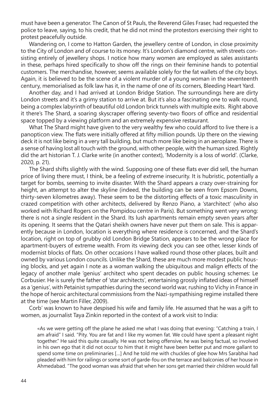must have been a generator. The Canon of St Pauls, the Reverend Giles Fraser, had requested the police to leave, saying, to his credit, that he did not mind the protestors exercising their right to protest peacefully outside.

Wandering on, I come to Hatton Garden, the jewellery centre of London, in close proximity to the City of London and of course to its money. It's London's diamond centre, with streets consisting entirely of jewellery shops. I notice how many women are employed as sales assistants in these, perhaps hired specifically to show off the rings on their feminine hands to potential customers. The merchandise, however, seems available solely for the fat wallets of the city boys. Again, it is believed to be the scene of a violent murder of a young woman in the seventeenth century, memorialised as folk law has it, in the name of one of its corners, Bleeding Heart Yard.

Another day, and I had arrived at London Bridge Station. The surroundings here are dirty London streets and it's a grimy station to arrive at. But it's also a fascinating one to walk round, being a complex labyrinth of beautiful old London brick tunnels with multiple exits. Right above it there's The Shard, a soaring skyscraper offering seventy-two floors of office and residential space topped by a viewing platform and an extremely expensive restaurant.

What The Shard might have given to the very wealthy few who could afford to live there is a panopticon view. The flats were initially offered at fifty million pounds. Up there on the viewing deck it is not like being in a very tall building, but much more like being in an aeroplane. There is a sense of having lost all touch with the ground, with other people, with the human sized. Rightly did the art historian T. J. Clarke write (in another context), 'Modernity is a loss of world'. (Clarke, 2020, p. 21).

The Shard shifts slightly with the wind. Supposing one of these flats ever did sell, the human price of living there must, I think, be a feeling of extreme insecurity. It is hubristic, potentially a target for bombs, seeming to invite disaster. With the Shard appears a crazy over-straining for height, an attempt to alter the skyline (indeed, the building can be seen from Epsom Downs, thirty-seven kilometres away). These seem to be the distorting effects of a toxic masculinity in crazed competition with other architects, delivered by Renzo Piano, a 'starchitect' (who also worked with Richard Rogers on the Pompidou centre in Paris). But something went very wrong: there is not a single resident in the Shard. Its lush apartments remain empty seven years after its opening. It seems that the Qatari sheikh owners have never put them on sale. This is apparently because in London, location is everything where residence is concerned, and the Shard's location, right on top of grubby old London Bridge Station, appears to be the wrong place for apartment-buyers of extreme wealth. From its viewing deck you can see other, lesser kinds of modernist blocks of flats. On other occasions I have walked round those other places, built and owned by various London councils. Unlike the Shard, these are much more modest public housing blocks, and yet again I note as a woman walking the ubiquitous and malign effects of the legacy of another male 'genius' architect who spent decades on public housing schemes: Le Corbusier. He is surely the father of 'star architects', entertaining grossly inflated ideas of himself as a 'genius', with Petainist sympathies during the second world war, rushing to Vichy in France in the hope of heroic architectural commissions from the Nazi-sympathising regime installed there at the time (see Martin Filler, 2009).

Corb' was known to have despised his wife and family life. He assumed that he was a gift to women, as journalist Taya Zinkin reported in the context of a work visit to India:

«As we were getting off the plane he asked me what I was doing that evening: "Catching a train, I am afraid" I said. "Pity. You are fat and I like my women fat. We could have spent a pleasant night together." He said this quite casually. He was not being offensive, he was being factual, so involved in his own ego that it did not occur to him that it might have been better put and more gallant to spend some time on preliminaries […] And he told me with chuckles of glee how Mrs Sarabhai had pleaded with him for railings or some sort of garde-fou on the terrace and balconies of her house in Ahmedabad. "The good woman was afraid that when her sons get married their children would fall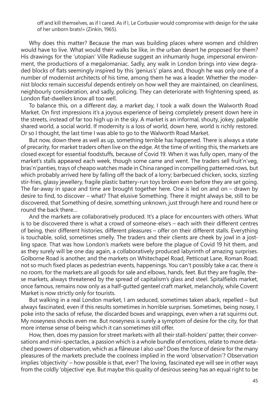off and kill themselves, as if I cared. As if I, Le Corbusier would compromise with design for the sake of her unborn brats!» (Zinkin, 1965).

Why does this matter? Because the man was building places where women and children would have to live. What would their walks be like, in the urban desert he proposed for them? His drawings for the 'utopian' Ville Radieuse suggest an inhumanly huge, impersonal environment, the productions of a megalomaniac. Sadly, any walk in London brings into view degraded blocks of flats seemingly inspired by this 'genius's' plans and, though he was only one of a number of modernist architects of his time, among them he was a leader. Whether the modernist blocks remain successful depends entirely on how well they are maintained, on cleanliness, neighbourly consideration, and sadly, policing. They can deteriorate with frightening speed, as London flat-dwellers know all too well.

To balance this, on a different day, a market day, I took a walk down the Walworth Road Market. On first impressions it's a joyous experience of being completely present down here in the streets, instead of far too high up in the sky. A market is an informal, shouty, jokey, palpable shared world, a social world. If modernity is a loss of world, down here, world is richly restored. Or so I thought, the last time I was able to go to the Walworth Road Market.

But now, down there as well as up, something terrible has happened. There is always a state of precarity, for market traders often live on the edge. At the time of writing this, the markets are closed except for essential foodstuffs, because of Covid 19. When it was fully open, many of the market's stalls appeared each week, though some came and went. The traders sell fruit'n'veg, bras'n'panties, trays of cheapo watches made in China ranged in compelling patterned rows, but which probably arrived here by falling off the back of a lorry; barbecued chicken, socks, sizzling stir-fries, glassy jewellery, fragile plastic battery-run toys broken even before they are set going. The far-away in space and time are brought together here. One is led on and on – drawn by desire to find, to discover – what? That elusive Something. There it might always be, still to be discovered, that Something of desire, something unknown, just through here and round here or round the back there…

And the markets are collaboratively produced. It's a place for encounters with others. What is to be discovered there is what a crowd of someone-else's – each with their different centres of being, their different histories, different pleasures – offer on their different stalls. Everything is touchable, solid, sometimes smelly. The traders and their clients are cheek by jowl in a jostling space. That was how London's markets were before the plague of Covid 19 hit them, and as they surely will be one day again, a collaboratively produced labyrinth of amazing surprises. Golborne Road is another, and the markets on Whitechapel Road, Petticoat Lane, Roman Road; not so much fixed places as pedestrian events, happenings. You can't possibly take a car, there is no room, for the markets are all goods for sale and elbows, hands, feet. But they are fragile, these markets, always threatened by the spread of capitalism's glass and steel. Spitalfields market, once famous, remains now only as a half-gutted genteel craft market, melancholy, while Covent Market is now strictly only for tourists.

But walking in a real London market, I am seduced, sometimes taken aback, repelled – but always fascinated, even if this results sometimes in horrible surprises. Sometimes, being nosey, I poke into the sacks of refuse, the discarded boxes and wrappings, even when a rat squirms out. My noseyness shocks even me. But noseyness is surely a symptom of desire for the city, for that more intense sense of being which it can sometimes still offer.

How, then, does my passion for street markets with all their stall-holders' patter, their conversations and mini-spectacles, a passion which is a whole bundle of emotions, relate to more detached powers of observation, which as a flâneuse I also use? Does the force of desire for the many pleasures of the markets preclude the coolness implied in the word 'observation'? Observation implies 'objectivity' – how possible is that, ever? The loving, fascinated eye will see in other ways from the coldly 'objective' eye. But maybe this quality of desirous seeing has an equal right to be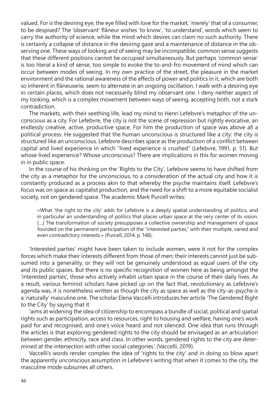valued. For is the desiring eye, the eye filled with love for the market, 'merely' that of a consumer, to be despised? The 'observant' flâneur wishes 'to know', 'to understand', words which seem to carry the authority of science, while the mind which desires can claim no such authority. There is certainly a collapse of distance in the desiring gaze and a maintenance of distance in the observing one. These ways of looking and of seeing may be incompatible; common sense suggests that these different positions cannot be occupied simultaneously. But perhaps 'common sense' is too literal a kind of sense, too simple to evoke the to-and-fro movement of mind which can occur between modes of seeing. In my own practice of the street, the pleasure in the market environment and the rational awareness of the effects of power and politics in it, which are both so inherent in flâneuserie, seem to alternate in an ongoing oscillation. I walk with a desiring eye in certain places, which does not necessarily blind my observant one. I deny neither aspect of my looking, which is a complex movement between ways of seeing, accepting both, not a stark contradiction.

The markets, with their seething life, lead my mind to Henri Lefebvre's metaphor of the unconscious as a city. For Lefebvre, the city is not the scene of repression but rightly evocative, an endlessly creative, active, productive space. For him the production of space was above all a political process. He suggested that the human unconscious is structured like a city: the city is structured like an unconscious. Lefebvre describes space as the production of a conflict between capital and lived experience in which "lived experience is crushed" (Lefebvre, 1991, p. 51). But whose lived experience? Whose unconscious? There are implications in this for women moving in in public space.

In the course of his thinking on the 'Rights to the City', Lefebvre seems to have shifted from the city as a metaphor for the unconscious, to a consideration of the actual city and how it is constantly produced as a process akin to that whereby the psyche maintains itself. Lefebvre's focus was on space as capitalist production, and the need for a shift to a more equitable socialist society, not on gendered space. The academic Mark Purcell writes:

«What 'the right to the city' adds for Lefebvre is a deeply spatial understanding of politics, and in particular an understanding of politics that places urban space at the very center of its vision. [...] The transformation of society presupposes a collective ownership and management of space founded on the permanent participation of the "interested parties," with their multiple, varied and even contradictory interests.» (Purcell, 2014, p. 148).

'Interested parties' might have been taken to include women, were it not for the complex forces which make their interests different from those of men; their interests cannot just be subsumed into a generality, or they will not be genuinely understood as equal users of the city and its public spaces. But there is no specific recognition of women here as being amongst the 'interested parties', those who actively inhabit urban space in the course of their daily lives. As a result, various feminist scholars have picked up on the fact that, revolutionary as Lefebvre's agenda was, it is nonetheless written as though the city as space as well as the city-as-psyche is a 'naturally' masculine one. The scholar Elena Vaccelli introduces her article 'The Gendered Right to the City' by saying that it

'aims at widening the idea of citizenship to encompass a bundle of social, political and spatial rights such as participation, access to resources, right to housing and welfare, having one's work paid for and recognised, and one's voice heard and not silenced. One idea that runs through the articles is that exploring gendered rights to the city should be envisaged as an articulation between gender, ethnicity, race and class. In other words, gendered rights to the city are determined at the intersection with other social categories.' (Vaccelli, 2019).

Vaccelli's words render complex the idea of 'rights to the city' and in doing so blow apart the apparently unconscious assumption in Lefebvre's writing that when it comes to the city, the masculine mode subsumes all others.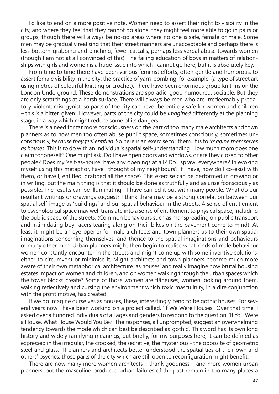I'd like to end on a more positive note. Women need to assert their right to visibility in the city, and where they feel that they cannot go alone, they might feel more able to go in pairs or groups, though there will always be no-go areas where no one is safe, female or male. Some men may be gradually realising that their street manners are unacceptable and perhaps there is less bottom-grabbing and pinching, fewer catcalls, perhaps less verbal abuse towards women (though I am not at all convinced of this). The failing education of boys in matters of relationships with girls and women is a huge issue into which I cannot go here, but it is absolutely key.

From time to time there have been various feminist efforts, often gentle and humorous, to assert female visibility in the city: the practice of yarn-bombing, for example, (a type of street art using metres of colourful knitting or crochet). There have been enormous group knit-ins on the London Underground. These demonstrations are sporadic, good humoured, sociable. But they are only scratchings at a harsh surface. There will always be men who are irredeemably predatory, violent, misogynist, so parts of the city can never be entirely safe for women and children – this is a bitter 'given'. However, parts of the city could be *imagined* differently at the planning stage, in a way which might reduce some of its dangers.

There is a need for far more consciousness on the part of too many male architects and town planners as to how men too often abuse public space, sometimes consciously, sometimes unconsciously, *because they feel entitled*. So here is an exercise for them. It is to *imagine themselves as houses*. This is to do with an individual's spatial self-understanding. How much room does one claim for oneself? One might ask, Do I have open doors and windows, or are they closed to other people? Does my 'self-as-house' have any openings at all? Do I sprawl everywhere? In evoking myself using this metaphor, have I thought of my neighbours? If I have, how do I co-exist with them, or have I, entitled, grabbed all the space? This exercise can be performed in drawing or in writing, but the main thing is that it should be done as truthfully and as unselfconsciously as possible**.** The results can be illuminating - I have carried it out with many people. What do our resultant writings or drawings suggest? I think there may be a strong correlation between our spatial self-image as 'buildings' and our spatial behaviour in the streets. A sense of entitlement to psychological space may well translate into a sense of entitlement to physical space, including the public space of the streets. (Common behaviours such as manspreading on public transport and intimidating boy racers tearing along on their bikes on the pavement come to mind). At least it might be an eye-opener for male architects and town planners as to their own spatial imaginations concerning themselves, and thence to the spatial imaginations and behaviours of many other men. Urban planners might then begin to realise what kinds of male behaviour women constantly encounter in the streets and might come up with some inventive solutions, either to circumvent or minimise it. Might architects and town planners become much more aware of their own metaphorical architecture 'as houses' and really imagine how brutal housing estates impact on women and children, and on women walking through the urban spaces which the tower blocks create? Some of those women are flâneuses, women looking around them, walking reflectively and cursing the environment which toxic masculinity, in a dire conjunction with the profit motive, has created.

If we do imagine ourselves as houses, these, interestingly, tend to be gothic houses. For several years now I have been working on a project called, 'If We Were Houses'. Over that time, I asked over a hundred individuals of all ages and genders to respond to the question, 'If You Were a House, What House Would You Be?' The responses, all unprompted, suggest an overwhelming tendency towards the mode which can best be described as 'gothic'. This word has its own long history and widely ramifying meanings, but briefly, for my purposes here, it can be defined as expressed in the irregular, the crooked, the secretive, the mysterious - the opposite of geometric steel and glass. If planners and architects better understood the spatialities of their own and others' psyches, those parts of the city which are still open to reconfiguration might benefit.

There are now many more women architects – thank goodness – and more women urban planners, but the masculine-produced urban failures of the past remain in too many places a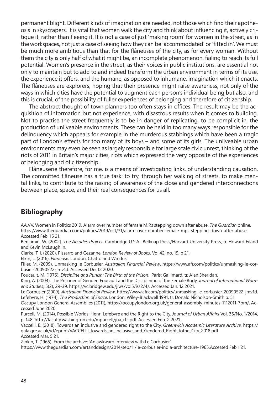permanent blight. Different kinds of imagination are needed, not those which find their apotheosis in skyscrapers. It is vital that women walk the city and think about influencing it, actively critique it, rather than fleeing it. It is not a case of just 'making room' for women in the street, as in the workspaces, not just a case of seeing how they can be 'accommodated' or 'fitted in'. We must be much more ambitious than that for the flâneuses of the city, as for every woman. Without them the city is only half of what it might be, an incomplete phenomenon, failing to reach its full potential. Women's presence in the street, as their voices in public institutions, are essential not only to maintain but to add to and indeed transform the urban environment in terms of its use, the experience it offers, and the humane, as opposed to inhumane, imagination which it enacts. The flâneuses are explorers, hoping that their presence might raise awareness, not only of the ways in which cities have the potential to augment each person's individual being but also, and this is crucial, of the possibility of fuller experiences of belonging and therefore of citizenship.

The abstract thought of town planners too often stays in offices. The result may be the acquisition of information but not experience, with disastrous results when it comes to building. Not to practise the street frequently is to be in danger of replicating, to be complicit in, the production of unliveable environments. These can be held in too many ways responsible for the delinquency which appears for example in the murderous stabbings which have been a tragic part of London's effects for too many of its boys – and some of its girls. The unliveable urban environments may even be seen as largely responsible for large scale civic unrest, thinking of the riots of 2011 in Britain's major cities, riots which expressed the very opposite of the experiences of belonging and of citizenship.

Flâneuserie therefore, for me, is a means of investigating links, of understanding causation. The committed flâneuse has a true task: to try, through her walking of streets, to make mental links, to contribute to the raising of awareness of the close and gendered interconnections between place, space, and their real consequences for us all.

### **Bibliography**

AA.VV. Women in Politics 2019. Alarm over number of female M.P.s stepping down after abuse. *The Guardian* online*.* https://www.theguardian.com/politics/2019/oct/31/alarm-over-number-female-mps-stepping-down-after-abuse Accessed Feb. 15 21.

Benjamin, W. (2002). *The Arcades Project.* Cambridge U.S.A.: Belknap Press/Harvard University Press, tr. Howard Eiland and Kevin McLaughlin.

Clarke, T. J. (2020). Pissarro and Cezanne*. London Review of Books*, Vol 42, no. 19, p 21.

Elkin, L. (2016). *Flâneuse.* London: Chatto and Windus.

Filler, M. (2009). Unmasking le Corbusier. *Australian Financial Review*. https://www.afr.com/politics/unmasking-le-corbusier-20090522-jmv1d. Accessed Dec12 2020.

Foucault, M. (1975). *Discipline and Punish: The Birth of the Prison*. Paris: Gallimard. tr. Alan Sheridan.

King, A. (2004). The Prisoner of Gender: Foucault and the Disciplining of the Female Body. *Journal of International Women's Studies*, 5(2), 29-39. https://vc.bridgew.edu/jiws/vol5/iss2/4/. Accessed Jan. 12 2021.

Le Corbusier (2009). *Australian Financial Review*. https://www.afr.com/politics/unmasking-le-corbusier-20090522-jmv1d. Lefebvre, H. (1974). *The Production of Space*. London: Wiley-Blackwell 1991, tr. Donald Nicholson-Smith p. 51.

Occupy London General Assemblies (2011), https://occupylondon.org.uk/general-assembly-minutes-1112011-7pm/. Accessed June 2020.

Purcell, M. (2014). Possible Worlds: Henri Lefebvre and the Right to the City. *Journal of Urban Affairs* Vol. 36/No. 1/2014, p. 148. http://faculty.washington.edu/mpurcell/jua\_rtc.pdf. Accessed Feb. 2 2021.

Vaccelli, E. (2018). Towards an inclusive and gendered right to the City. *Greenwich Academic Literature Archive.* https:// gala.gre.ac.uk/id/eprint/VACCELLI\_towards\_an\_Inclusive\_and\_Gendered\_Right\_tothe\_City\_2018.pdf Accessed Mar. 5 21.

Zinkin, T. (1965). From the archive: 'An awkward interview with Le Corbusier'

https://www.theguardian.com/artanddesign/2014/sep/11/le-corbusier-india-architecture-1965.Accessed Feb 1 21.